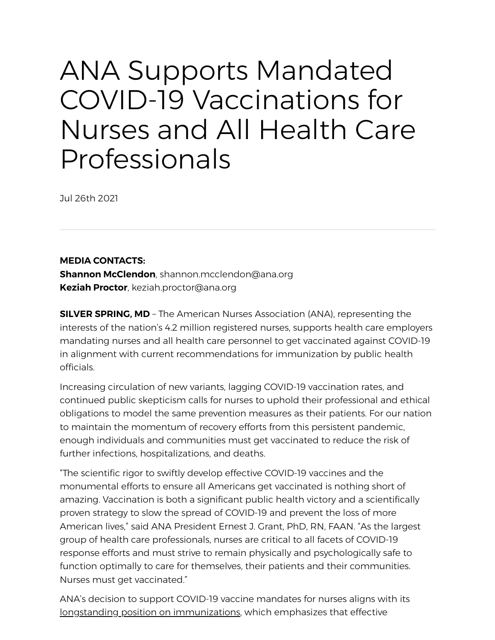## ANA Supports Mandated COVID-19 Vaccinations for Nurses and All Health Care Professionals

Jul 26th 2021

**MEDIA CONTACTS:**

**Shannon McClendon**, shannon.mcclendon@ana.org **Keziah Proctor**, keziah.proctor@ana.org

**SILVER SPRING, MD** – The American Nurses Association (ANA), representing the interests of the nation's 4.2 million registered nurses, supports health care employers mandating nurses and all health care personnel to get vaccinated against COVID-19 in alignment with current recommendations for immunization by public health officials.

Increasing circulation of new variants, lagging COVID-19 vaccination rates, and continued public skepticism calls for nurses to uphold their professional and ethical obligations to model the same prevention measures as their patients. For our nation to maintain the momentum of recovery efforts from this persistent pandemic, enough individuals and communities must get vaccinated to reduce the risk of further infections, hospitalizations, and deaths.

"The scientific rigor to swiftly develop effective COVID-19 vaccines and the monumental efforts to ensure all Americans get vaccinated is nothing short of amazing. Vaccination is both a significant public health victory and a scientifically proven strategy to slow the spread of COVID-19 and prevent the loss of more American lives," said ANA President Ernest J. Grant, PhD, RN, FAAN. "As the largest group of health care professionals, nurses are critical to all facets of COVID-19 response efforts and must strive to remain physically and psychologically safe to function optimally to care for themselves, their patients and their communities. Nurses must get vaccinated."

ANA's decision to support COVID-19 vaccine mandates for nurses aligns with its [longstanding position on immunizations,](https://www.nursingworld.org/practice-policy/nursing-excellence/official-position-statements/id/immunizations/) which emphasizes that effective